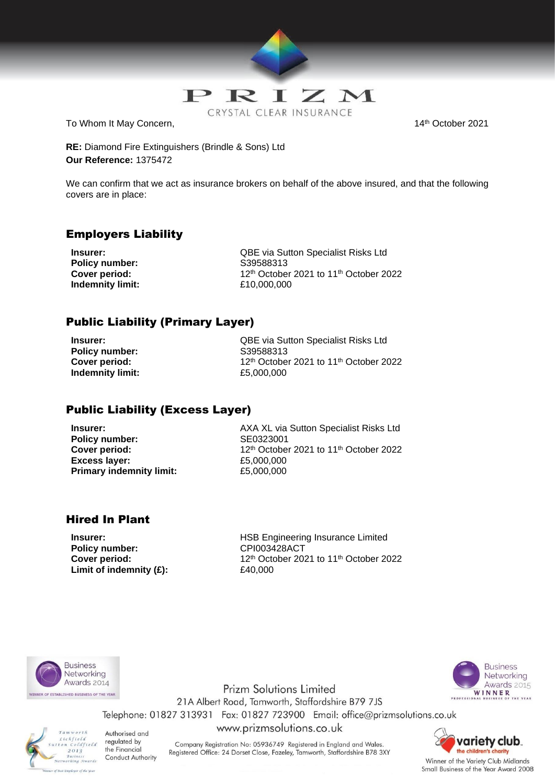

To Whom It May Concern, The Concernent Concernent Concernent Concernent Concernent Concernent Concernent Concernent Concernent Concernent Concernent Concernent Concernent Concernent Concernent Concernent Concernent Concern

**RE:** Diamond Fire Extinguishers (Brindle & Sons) Ltd **Our Reference:** 1375472

We can confirm that we act as insurance brokers on behalf of the above insured, and that the following covers are in place:

## Employers Liability

**Policy number:** S39588313 **Indemnity limit:** £10,000,000

**Insurer:** QBE via Sutton Specialist Risks Ltd **Cover period:** 12th October 2021 to 11th October 2022

# Public Liability (Primary Layer)

**Policy number:** S39588313 **Indemnity limit:** £5,000,000

**Insurer:** QBE via Sutton Specialist Risks Ltd **Cover period:** 12<sup>th</sup> October 2021 to 11<sup>th</sup> October 2022

## Public Liability (Excess Layer)

**Policy number:** SE0323001 **Excess layer:** £5,000,000 **Primary indemnity limit:** £5,000,000

**Insurer:** AXA XL via Sutton Specialist Risks Ltd **Cover period:** 12<sup>th</sup> October 2021 to 11<sup>th</sup> October 2022

## Hired In Plant

Policy number: CPI003428ACT **Limit of indemnity (£):**  $£40,000$ 

**Insurer: Insurer: Insurer: HSB Engineering Insurance Limited Cover period:** 12th October 2021 to 11th October 2022





**Prizm Solutions Limited** 21A Albert Road, Tamworth, Staffordshire B79 7JS Telephone: 01827 313931 Fax: 01827 723900 Email: office@prizmsolutions.co.uk www.prizmsolutions.co.uk



Authorised and regulated by the Financial Conduct Authority

Company Registration No: 05936749 Registered in England and Wales. Registered Office: 24 Dorset Close, Fazeley, Tamworth, Staffordshire B78 3XY



Winner of the Variety Club Midlands Small Business of the Year Award 2008